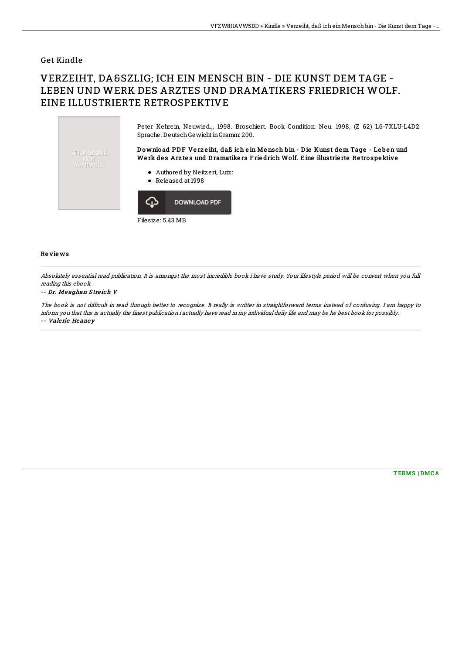### **Get Kindle**

# VERZEIHT, DASS ICH EIN MENSCH BIN - DIE KUNST DEM TAGE -LEBEN UND WERK DES ARZTES UND DRAMATIKERS FRIEDRICH WOLF. EINE ILLUSTRIERTE RETROSPEKTIVE

Peter Kehrein Neuwied... 1998. Broschiert. Book Condition: Neu. 1998. (Z 62) L6-7XLU-L4D2 Sprache: Deutsch Gewicht in Gramm: 200. Download PDF Verzeiht, daß ich ein Mensch bin - Die Kunst dem Tage - Leben und THUMBNAIL Werk des Arztes und Dramatikers Friedrich Wolf. Eine illustrierte Retrospektive NUT<br>AVAILABLE • Authored by Neitzert, Lutz: • Released at 1998 **DOWNLOAD PDF** ረገን Filesize: 5.43 MB

#### **Reviews**

Absolutely essential read publication. It is amongst the most incredible book i have study. Your lifestyle period will be convert when you full reading this ebook.

#### -- Dr. Meaghan Streich V

The book is not difficult in read through better to recognize. It really is writter in straightforward terms instead of confusing. I am happy to inform you that this is actually the finest publication i actually have read in my individual daily life and may be he best book for possibly. -- Valerie Heaney